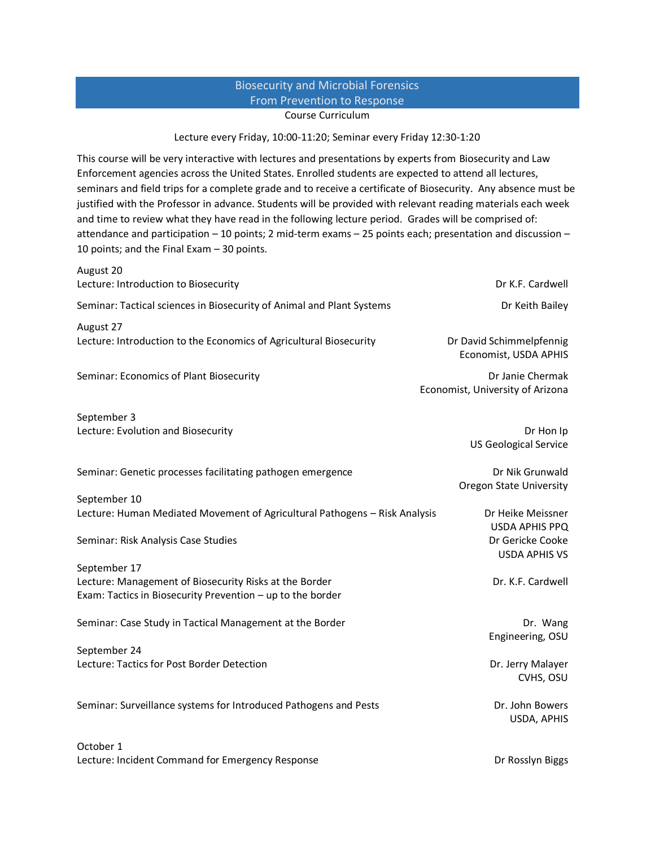## Biosecurity and Microbial Forensics From Prevention to Response Course Curriculum

## Lecture every Friday, 10:00-11:20; Seminar every Friday 12:30-1:20

This course will be very interactive with lectures and presentations by experts from Biosecurity and Law Enforcement agencies across the United States. Enrolled students are expected to attend all lectures, seminars and field trips for a complete grade and to receive a certificate of Biosecurity. Any absence must be justified with the Professor in advance. Students will be provided with relevant reading materials each week and time to review what they have read in the following lecture period. Grades will be comprised of: attendance and participation – 10 points; 2 mid-term exams – 25 points each; presentation and discussion – 10 points; and the Final Exam – 30 points.

| August 20                                                                                                            | Dr K.F. Cardwell                                                  |
|----------------------------------------------------------------------------------------------------------------------|-------------------------------------------------------------------|
| Lecture: Introduction to Biosecurity                                                                                 |                                                                   |
| Seminar: Tactical sciences in Biosecurity of Animal and Plant Systems                                                | Dr Keith Bailey                                                   |
| August 27<br>Lecture: Introduction to the Economics of Agricultural Biosecurity                                      | Dr David Schimmelpfennig<br>Economist, USDA APHIS                 |
| Seminar: Economics of Plant Biosecurity                                                                              | Dr Janie Chermak<br>Economist, University of Arizona              |
| September 3                                                                                                          |                                                                   |
| Lecture: Evolution and Biosecurity                                                                                   | Dr Hon Ip<br><b>US Geological Service</b>                         |
| Seminar: Genetic processes facilitating pathogen emergence                                                           | Dr Nik Grunwald<br><b>Oregon State University</b>                 |
| September 10                                                                                                         |                                                                   |
| Lecture: Human Mediated Movement of Agricultural Pathogens - Risk Analysis                                           | Dr Heike Meissner                                                 |
| Seminar: Risk Analysis Case Studies                                                                                  | <b>USDA APHIS PPQ</b><br>Dr Gericke Cooke<br><b>USDA APHIS VS</b> |
| September 17                                                                                                         |                                                                   |
| Lecture: Management of Biosecurity Risks at the Border<br>Exam: Tactics in Biosecurity Prevention - up to the border | Dr. K.F. Cardwell                                                 |
| Seminar: Case Study in Tactical Management at the Border                                                             | Dr. Wang<br>Engineering, OSU                                      |
| September 24                                                                                                         |                                                                   |
| Lecture: Tactics for Post Border Detection                                                                           | Dr. Jerry Malayer<br>CVHS, OSU                                    |
| Seminar: Surveillance systems for Introduced Pathogens and Pests                                                     | Dr. John Bowers<br>USDA, APHIS                                    |
| October 1                                                                                                            |                                                                   |
| Lecture: Incident Command for Emergency Response                                                                     | Dr Rosslyn Biggs                                                  |